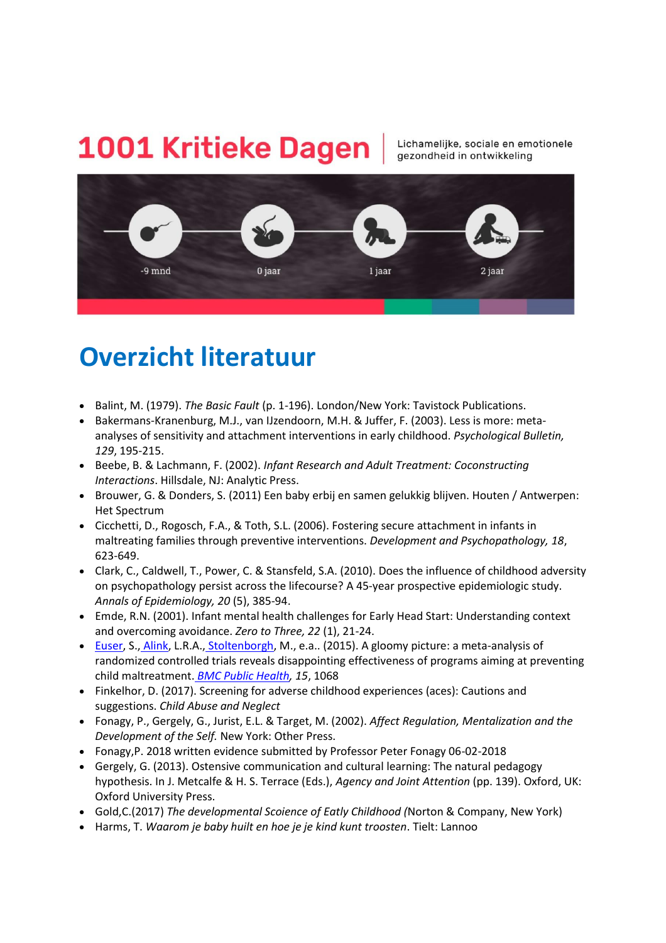## 1001 Kritieke Dagen

Lichamelijke, sociale en emotionele gezondheid in ontwikkeling



## **Overzicht literatuur**

- Balint, M. (1979). *The Basic Fault* (p. 1-196). London/New York: Tavistock Publications.
- Bakermans-Kranenburg, M.J., van IJzendoorn, M.H. & Juffer, F. (2003). Less is more: metaanalyses of sensitivity and attachment interventions in early childhood. *Psychological Bulletin, 129*, 195-215.
- Beebe, B. & Lachmann, F. (2002). *Infant Research and Adult Treatment: Coconstructing Interactions*. Hillsdale, NJ: Analytic Press.
- Brouwer, G. & Donders, S. (2011) Een baby erbij en samen gelukkig blijven. Houten / Antwerpen: Het Spectrum
- Cicchetti, D., Rogosch, F.A., & Toth, S.L. (2006). Fostering secure attachment in infants in maltreating families through preventive interventions. *Development and Psychopathology, 18*, 623-649.
- Clark, C., Caldwell, T., Power, C. & Stansfeld, S.A. (2010). Does the influence of childhood adversity on psychopathology persist across the lifecourse? A 45-year prospective epidemiologic study. *Annals of Epidemiology, 20* (5), 385-94.
- Emde, R.N. (2001). Infant mental health challenges for Early Head Start: Understanding context and overcoming avoidance. *Zero to Three, 22* (1), 21-24.
- [Euser,](https://www.ncbi.nlm.nih.gov/pubmed/?term=Euser%20S%5BAuthor%5D&cauthor=true&cauthor_uid=26476980) S., [Alink,](https://www.ncbi.nlm.nih.gov/pubmed/?term=Alink%20LR%5BAuthor%5D&cauthor=true&cauthor_uid=26476980) L.R.A., [Stoltenborgh,](https://www.ncbi.nlm.nih.gov/pubmed/?term=Stoltenborgh%20M%5BAuthor%5D&cauthor=true&cauthor_uid=26476980) M., e.a.. (2015). A gloomy picture: a meta-analysis of randomized controlled trials reveals disappointing effectiveness of programs aiming at preventing child maltreatment. *[BMC Public Health,](https://www.ncbi.nlm.nih.gov/pmc/articles/PMC4609474/) 15*, 1068
- Finkelhor, D. (2017). Screening for adverse childhood experiences (aces): Cautions and suggestions. *Child Abuse and Neglect*
- Fonagy, P., Gergely, G., Jurist, E.L. & Target, M. (2002). *Affect Regulation, Mentalization and the Development of the Self.* New York: Other Press.
- Fonagy,P. 2018 written evidence submitted by Professor Peter Fonagy 06-02-2018
- Gergely, G. (2013). Ostensive communication and cultural learning: The natural pedagogy hypothesis. In J. Metcalfe & H. S. Terrace (Eds.), *Agency and Joint Attention* (pp. 139). Oxford, UK: Oxford University Press.
- Gold,C.(2017) *The developmental Scoience of Eatly Childhood (*Norton & Company, New York)
- Harms, T. *Waarom je baby huilt en hoe je je kind kunt troosten*. Tielt: Lannoo